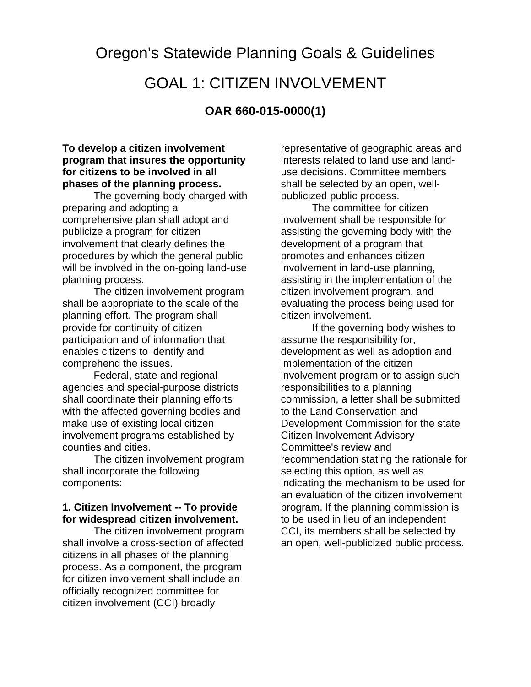Oregon's Statewide Planning Goals & Guidelines GOAL 1: CITIZEN INVOLVEMENT

# **OAR 660-015-0000(1)**

#### **To develop a citizen involvement program that insures the opportunity for citizens to be involved in all phases of the planning process.**

The governing body charged with preparing and adopting a comprehensive plan shall adopt and publicize a program for citizen involvement that clearly defines the procedures by which the general public will be involved in the on-going land-use planning process.

The citizen involvement program shall be appropriate to the scale of the planning effort. The program shall provide for continuity of citizen participation and of information that enables citizens to identify and comprehend the issues.

Federal, state and regional agencies and special-purpose districts shall coordinate their planning efforts with the affected governing bodies and make use of existing local citizen involvement programs established by counties and cities.

The citizen involvement program shall incorporate the following components:

#### **1. Citizen Involvement -- To provide for widespread citizen involvement.**

The citizen involvement program shall involve a cross-section of affected citizens in all phases of the planning process. As a component, the program for citizen involvement shall include an officially recognized committee for citizen involvement (CCI) broadly

representative of geographic areas and interests related to land use and landuse decisions. Committee members shall be selected by an open, wellpublicized public process.

The committee for citizen involvement shall be responsible for assisting the governing body with the development of a program that promotes and enhances citizen involvement in land-use planning, assisting in the implementation of the citizen involvement program, and evaluating the process being used for citizen involvement.

If the governing body wishes to assume the responsibility for, development as well as adoption and implementation of the citizen involvement program or to assign such responsibilities to a planning commission, a letter shall be submitted to the Land Conservation and Development Commission for the state Citizen Involvement Advisory Committee's review and recommendation stating the rationale for selecting this option, as well as indicating the mechanism to be used for an evaluation of the citizen involvement program. If the planning commission is to be used in lieu of an independent CCI, its members shall be selected by an open, well-publicized public process.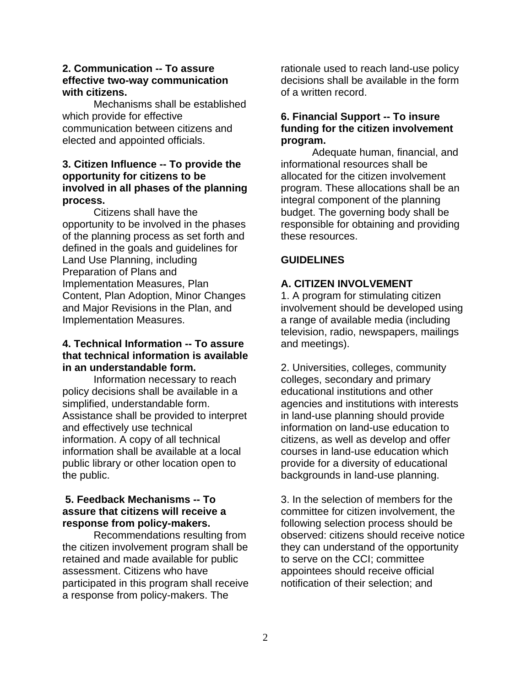#### **2. Communication -- To assure effective two-way communication with citizens.**

Mechanisms shall be established which provide for effective communication between citizens and elected and appointed officials.

#### **3. Citizen Influence -- To provide the opportunity for citizens to be involved in all phases of the planning process.**

Citizens shall have the opportunity to be involved in the phases of the planning process as set forth and defined in the goals and guidelines for Land Use Planning, including Preparation of Plans and Implementation Measures, Plan Content, Plan Adoption, Minor Changes and Major Revisions in the Plan, and Implementation Measures.

#### **4. Technical Information -- To assure that technical information is available in an understandable form.**

Information necessary to reach policy decisions shall be available in a simplified, understandable form. Assistance shall be provided to interpret and effectively use technical information. A copy of all technical information shall be available at a local public library or other location open to the public.

#### **5. Feedback Mechanisms -- To assure that citizens will receive a response from policy-makers.**

Recommendations resulting from the citizen involvement program shall be retained and made available for public assessment. Citizens who have participated in this program shall receive a response from policy-makers. The

rationale used to reach land-use policy decisions shall be available in the form of a written record.

#### **6. Financial Support -- To insure funding for the citizen involvement program.**

Adequate human, financial, and informational resources shall be allocated for the citizen involvement program. These allocations shall be an integral component of the planning budget. The governing body shall be responsible for obtaining and providing these resources.

#### **GUIDELINES**

### **A. CITIZEN INVOLVEMENT**

1. A program for stimulating citizen involvement should be developed using a range of available media (including television, radio, newspapers, mailings and meetings).

2. Universities, colleges, community colleges, secondary and primary educational institutions and other agencies and institutions with interests in land-use planning should provide information on land-use education to citizens, as well as develop and offer courses in land-use education which provide for a diversity of educational backgrounds in land-use planning.

3. In the selection of members for the committee for citizen involvement, the following selection process should be observed: citizens should receive notice they can understand of the opportunity to serve on the CCI; committee appointees should receive official notification of their selection; and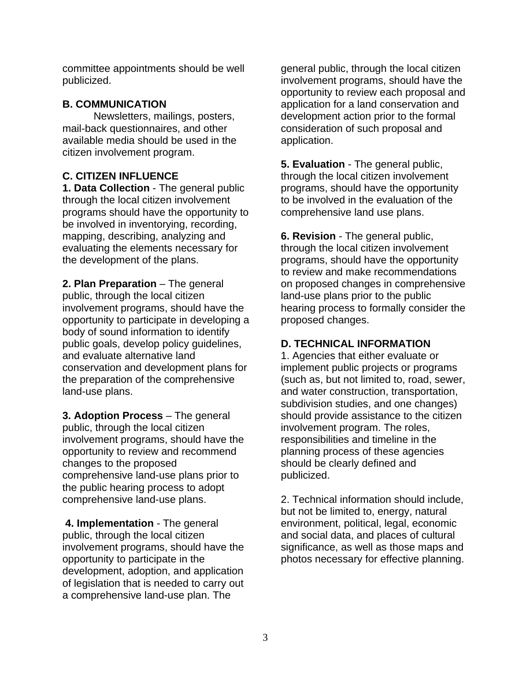committee appointments should be well publicized.

# **B. COMMUNICATION**

Newsletters, mailings, posters, mail-back questionnaires, and other available media should be used in the citizen involvement program.

# **C. CITIZEN INFLUENCE**

**1. Data Collection** - The general public through the local citizen involvement programs should have the opportunity to be involved in inventorying, recording, mapping, describing, analyzing and evaluating the elements necessary for the development of the plans.

**2. Plan Preparation** – The general public, through the local citizen involvement programs, should have the opportunity to participate in developing a body of sound information to identify public goals, develop policy guidelines, and evaluate alternative land conservation and development plans for the preparation of the comprehensive land-use plans.

**3. Adoption Process** – The general public, through the local citizen involvement programs, should have the opportunity to review and recommend changes to the proposed comprehensive land-use plans prior to the public hearing process to adopt comprehensive land-use plans.

 **4. Implementation** - The general public, through the local citizen involvement programs, should have the opportunity to participate in the development, adoption, and application of legislation that is needed to carry out a comprehensive land-use plan. The

general public, through the local citizen involvement programs, should have the opportunity to review each proposal and application for a land conservation and development action prior to the formal consideration of such proposal and application.

**5. Evaluation** - The general public, through the local citizen involvement programs, should have the opportunity to be involved in the evaluation of the comprehensive land use plans.

**6. Revision** - The general public, through the local citizen involvement programs, should have the opportunity to review and make recommendations on proposed changes in comprehensive land-use plans prior to the public hearing process to formally consider the proposed changes.

# **D. TECHNICAL INFORMATION**

1. Agencies that either evaluate or implement public projects or programs (such as, but not limited to, road, sewer, and water construction, transportation, subdivision studies, and one changes) should provide assistance to the citizen involvement program. The roles, responsibilities and timeline in the planning process of these agencies should be clearly defined and publicized.

2. Technical information should include, but not be limited to, energy, natural environment, political, legal, economic and social data, and places of cultural significance, as well as those maps and photos necessary for effective planning.